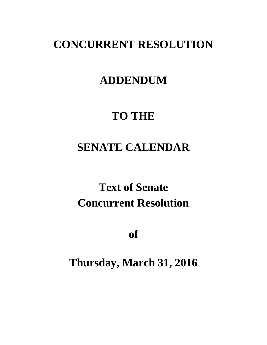# **CONCURRENT RESOLUTION**

## **ADDENDUM**

## **TO THE**

# **SENATE CALENDAR**

# **Text of Senate Concurrent Resolution**

**of**

**Thursday, March 31, 2016**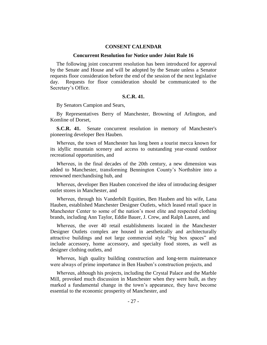### **CONSENT CALENDAR**

#### **Concurrent Resolution for Notice under Joint Rule 16**

The following joint concurrent resolution has been introduced for approval by the Senate and House and will be adopted by the Senate unless a Senator requests floor consideration before the end of the session of the next legislative day. Requests for floor consideration should be communicated to the Secretary's Office.

## **S.C.R. 41.**

By Senators Campion and Sears,

By Representatives Berry of Manchester, Browning of Arlington, and Komline of Dorset,

**S.C.R. 41.** Senate concurrent resolution in memory of Manchester's pioneering developer Ben Hauben.

*Whereas*, the town of Manchester has long been a tourist mecca known for its idyllic mountain scenery and access to outstanding year-round outdoor recreational opportunities, and

*Whereas*, in the final decades of the 20th century, a new dimension was added to Manchester, transforming Bennington County's Northshire into a renowned merchandising hub, and

*Whereas*, developer Ben Hauben conceived the idea of introducing designer outlet stores in Manchester, and

*Whereas*, through his Vanderbilt Equities, Ben Hauben and his wife, Lana Hauben, established Manchester Designer Outlets, which leased retail space in Manchester Center to some of the nation's most elite and respected clothing brands, including Ann Taylor, Eddie Bauer, J. Crew, and Ralph Lauren, and

*Whereas*, the over 40 retail establishments located in the Manchester Designer Outlets complex are housed in aesthetically and architecturally attractive buildings and not large commercial style "big box spaces" and include accessory, home accessory, and specialty food stores, as well as designer clothing outlets, and

*Whereas*, high quality building construction and long-term maintenance were always of prime importance in Ben Hauben's construction projects, and

*Whereas*, although his projects, including the Crystal Palace and the Marble Mill, provoked much discussion in Manchester when they were built, as they marked a fundamental change in the town's appearance, they have become essential to the economic prosperity of Manchester, and